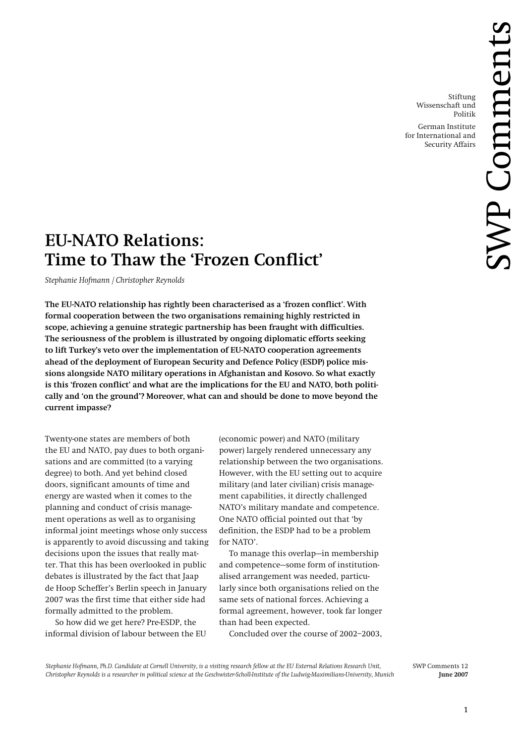Stiftung Wissenschaft und Politik

German Institute for International and Security Affairs

# **EU-NATO Relations: Time to Thaw the 'Frozen Conflict'**

*Stephanie Hofmann / Christopher Reynolds* 

**The EU-NATO relationship has rightly been characterised as a 'frozen conflict'. With formal cooperation between the two organisations remaining highly restricted in scope, achieving a genuine strategic partnership has been fraught with difficulties. The seriousness of the problem is illustrated by ongoing diplomatic efforts seeking to lift Turkey's veto over the implementation of EU-NATO cooperation agreements ahead of the deployment of European Security and Defence Policy (ESDP) police missions alongside NATO military operations in Afghanistan and Kosovo. So what exactly is this 'frozen conflict' and what are the implications for the EU and NATO, both politically and 'on the ground'? Moreover, what can and should be done to move beyond the current impasse?** 

Twenty-one states are members of both the EU and NATO, pay dues to both organisations and are committed (to a varying degree) to both. And yet behind closed doors, significant amounts of time and energy are wasted when it comes to the planning and conduct of crisis management operations as well as to organising informal joint meetings whose only success is apparently to avoid discussing and taking decisions upon the issues that really matter. That this has been overlooked in public debates is illustrated by the fact that Jaap de Hoop Scheffer's Berlin speech in January 2007 was the first time that either side had formally admitted to the problem.

So how did we get here? Pre-ESDP, the informal division of labour between the EU

(economic power) and NATO (military power) largely rendered unnecessary any relationship between the two organisations. However, with the EU setting out to acquire military (and later civilian) crisis management capabilities, it directly challenged NATO's military mandate and competence. One NATO official pointed out that 'by definition, the ESDP had to be a problem for NATO'.

To manage this overlap—in membership and competence—some form of institutionalised arrangement was needed, particularly since both organisations relied on the same sets of national forces. Achieving a formal agreement, however, took far longer than had been expected.

Concluded over the course of 2002–2003,

*Stephanie Hofmann, Ph.D. Candidate at Cornell University, is a visiting research fellow at the EU External Relations Research Unit,* SWP Comments 12 *Christopher Reynolds is a researcher in political science at the Geschwister-Scholl-Institute of the Ludwig-Maximilians-University, Munich* **June 2007**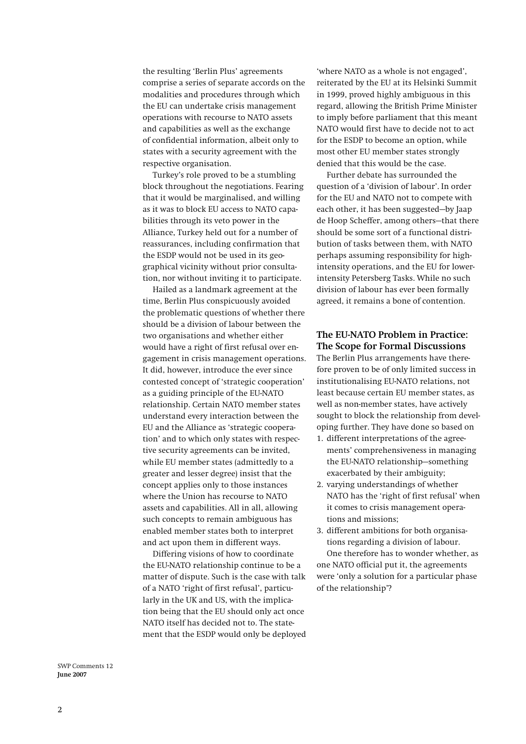the resulting 'Berlin Plus' agreements comprise a series of separate accords on the modalities and procedures through which the EU can undertake crisis management operations with recourse to NATO assets and capabilities as well as the exchange of confidential information, albeit only to states with a security agreement with the respective organisation.

Turkey's role proved to be a stumbling block throughout the negotiations. Fearing that it would be marginalised, and willing as it was to block EU access to NATO capabilities through its veto power in the Alliance, Turkey held out for a number of reassurances, including confirmation that the ESDP would not be used in its geographical vicinity without prior consultation, nor without inviting it to participate.

Hailed as a landmark agreement at the time, Berlin Plus conspicuously avoided the problematic questions of whether there should be a division of labour between the two organisations and whether either would have a right of first refusal over engagement in crisis management operations. It did, however, introduce the ever since contested concept of 'strategic cooperation' as a guiding principle of the EU-NATO relationship. Certain NATO member states understand every interaction between the EU and the Alliance as 'strategic cooperation' and to which only states with respective security agreements can be invited, while EU member states (admittedly to a greater and lesser degree) insist that the concept applies only to those instances where the Union has recourse to NATO assets and capabilities. All in all, allowing such concepts to remain ambiguous has enabled member states both to interpret and act upon them in different ways.

Differing visions of how to coordinate the EU-NATO relationship continue to be a matter of dispute. Such is the case with talk of a NATO 'right of first refusal', particularly in the UK and US, with the implication being that the EU should only act once NATO itself has decided not to. The statement that the ESDP would only be deployed 'where NATO as a whole is not engaged', reiterated by the EU at its Helsinki Summit in 1999, proved highly ambiguous in this regard, allowing the British Prime Minister to imply before parliament that this meant NATO would first have to decide not to act for the ESDP to become an option, while most other EU member states strongly denied that this would be the case.

Further debate has surrounded the question of a 'division of labour'. In order for the EU and NATO not to compete with each other, it has been suggested—by Jaap de Hoop Scheffer, among others—that there should be some sort of a functional distribution of tasks between them, with NATO perhaps assuming responsibility for highintensity operations, and the EU for lowerintensity Petersberg Tasks. While no such division of labour has ever been formally agreed, it remains a bone of contention.

# **The EU-NATO Problem in Practice: The Scope for Formal Discussions**

The Berlin Plus arrangements have therefore proven to be of only limited success in institutionalising EU-NATO relations, not least because certain EU member states, as well as non-member states, have actively sought to block the relationship from developing further. They have done so based on

- 1. different interpretations of the agreements' comprehensiveness in managing the EU-NATO relationship—something exacerbated by their ambiguity;
- 2. varying understandings of whether NATO has the 'right of first refusal' when it comes to crisis management operations and missions;
- 3. different ambitions for both organisations regarding a division of labour. One therefore has to wonder whether, as one NATO official put it, the agreements were 'only a solution for a particular phase of the relationship'?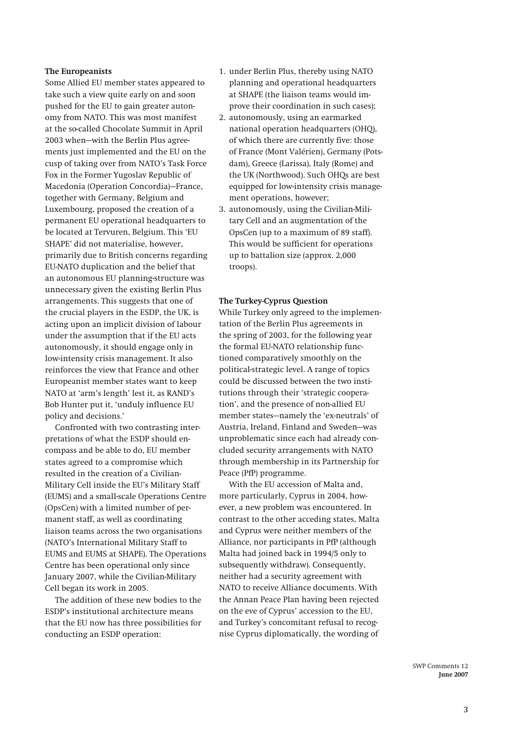#### **The Europeanists**

Some Allied EU member states appeared to take such a view quite early on and soon pushed for the EU to gain greater autonomy from NATO. This was most manifest at the so-called Chocolate Summit in April 2003 when—with the Berlin Plus agreements just implemented and the EU on the cusp of taking over from NATO's Task Force Fox in the Former Yugoslav Republic of Macedonia (Operation Concordia)—France, together with Germany, Belgium and Luxembourg, proposed the creation of a permanent EU operational headquarters to be located at Tervuren, Belgium. This 'EU SHAPE' did not materialise, however, primarily due to British concerns regarding EU-NATO duplication and the belief that an autonomous EU planning-structure was unnecessary given the existing Berlin Plus arrangements. This suggests that one of the crucial players in the ESDP, the UK, is acting upon an implicit division of labour under the assumption that if the EU acts autonomously, it should engage only in low-intensity crisis management. It also reinforces the view that France and other Europeanist member states want to keep NATO at 'arm's length' lest it, as RAND's Bob Hunter put it, 'unduly influence EU policy and decisions.'

Confronted with two contrasting interpretations of what the ESDP should encompass and be able to do, EU member states agreed to a compromise which resulted in the creation of a Civilian-Military Cell inside the EU's Military Staff (EUMS) and a small-scale Operations Centre (OpsCen) with a limited number of permanent staff, as well as coordinating liaison teams across the two organisations (NATO's International Military Staff to EUMS and EUMS at SHAPE). The Operations Centre has been operational only since January 2007, while the Civilian-Military Cell began its work in 2005.

The addition of these new bodies to the ESDP's institutional architecture means that the EU now has three possibilities for conducting an ESDP operation:

- 1. under Berlin Plus, thereby using NATO planning and operational headquarters at SHAPE (the liaison teams would improve their coordination in such cases);
- 2. autonomously, using an earmarked national operation headquarters (OHQ), of which there are currently five: those of France (Mont Valérien), Germany (Potsdam), Greece (Larissa), Italy (Rome) and the UK (Northwood). Such OHQs are best equipped for low-intensity crisis management operations, however;
- 3. autonomously, using the Civilian-Military Cell and an augmentation of the OpsCen (up to a maximum of 89 staff). This would be sufficient for operations up to battalion size (approx. 2,000 troops).

#### **The Turkey-Cyprus Question**

While Turkey only agreed to the implementation of the Berlin Plus agreements in the spring of 2003, for the following year the formal EU-NATO relationship functioned comparatively smoothly on the political-strategic level. A range of topics could be discussed between the two institutions through their 'strategic cooperation', and the presence of non-allied EU member states—namely the 'ex-neutrals' of Austria, Ireland, Finland and Sweden—was unproblematic since each had already concluded security arrangements with NATO through membership in its Partnership for Peace (PfP) programme.

With the EU accession of Malta and, more particularly, Cyprus in 2004, however, a new problem was encountered. In contrast to the other acceding states, Malta and Cyprus were neither members of the Alliance, nor participants in PfP (although Malta had joined back in 1994/5 only to subsequently withdraw). Consequently, neither had a security agreement with NATO to receive Alliance documents. With the Annan Peace Plan having been rejected on the eve of Cyprus' accession to the EU, and Turkey's concomitant refusal to recognise Cyprus diplomatically, the wording of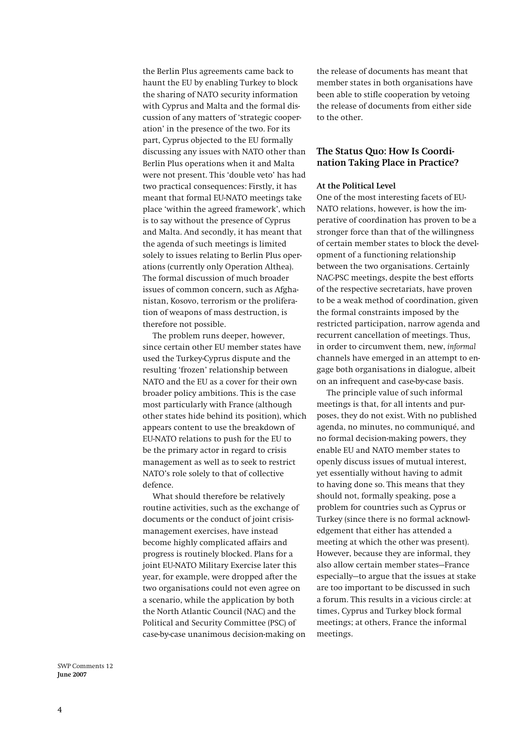the Berlin Plus agreements came back to haunt the EU by enabling Turkey to block the sharing of NATO security information with Cyprus and Malta and the formal discussion of any matters of 'strategic cooperation' in the presence of the two. For its part, Cyprus objected to the EU formally discussing any issues with NATO other than Berlin Plus operations when it and Malta were not present. This 'double veto' has had two practical consequences: Firstly, it has meant that formal EU-NATO meetings take place 'within the agreed framework', which is to say without the presence of Cyprus and Malta. And secondly, it has meant that the agenda of such meetings is limited solely to issues relating to Berlin Plus operations (currently only Operation Althea). The formal discussion of much broader issues of common concern, such as Afghanistan, Kosovo, terrorism or the proliferation of weapons of mass destruction, is therefore not possible.

The problem runs deeper, however, since certain other EU member states have used the Turkey-Cyprus dispute and the resulting 'frozen' relationship between NATO and the EU as a cover for their own broader policy ambitions. This is the case most particularly with France (although other states hide behind its position), which appears content to use the breakdown of EU-NATO relations to push for the EU to be the primary actor in regard to crisis management as well as to seek to restrict NATO's role solely to that of collective defence.

What should therefore be relatively routine activities, such as the exchange of documents or the conduct of joint crisismanagement exercises, have instead become highly complicated affairs and progress is routinely blocked. Plans for a joint EU-NATO Military Exercise later this year, for example, were dropped after the two organisations could not even agree on a scenario, while the application by both the North Atlantic Council (NAC) and the Political and Security Committee (PSC) of case-by-case unanimous decision-making on the release of documents has meant that member states in both organisations have been able to stifle cooperation by vetoing the release of documents from either side to the other.

# **The Status Quo: How Is Coordination Taking Place in Practice?**

#### **At the Political Level**

One of the most interesting facets of EU-NATO relations, however, is how the imperative of coordination has proven to be a stronger force than that of the willingness of certain member states to block the development of a functioning relationship between the two organisations. Certainly NAC-PSC meetings, despite the best efforts of the respective secretariats, have proven to be a weak method of coordination, given the formal constraints imposed by the restricted participation, narrow agenda and recurrent cancellation of meetings. Thus, in order to circumvent them, new, *informal* channels have emerged in an attempt to engage both organisations in dialogue, albeit on an infrequent and case-by-case basis.

The principle value of such informal meetings is that, for all intents and purposes, they do not exist. With no published agenda, no minutes, no communiqué, and no formal decision-making powers, they enable EU and NATO member states to openly discuss issues of mutual interest, yet essentially without having to admit to having done so. This means that they should not, formally speaking, pose a problem for countries such as Cyprus or Turkey (since there is no formal acknowledgement that either has attended a meeting at which the other was present). However, because they are informal, they also allow certain member states—France especially—to argue that the issues at stake are too important to be discussed in such a forum. This results in a vicious circle: at times, Cyprus and Turkey block formal meetings; at others, France the informal meetings.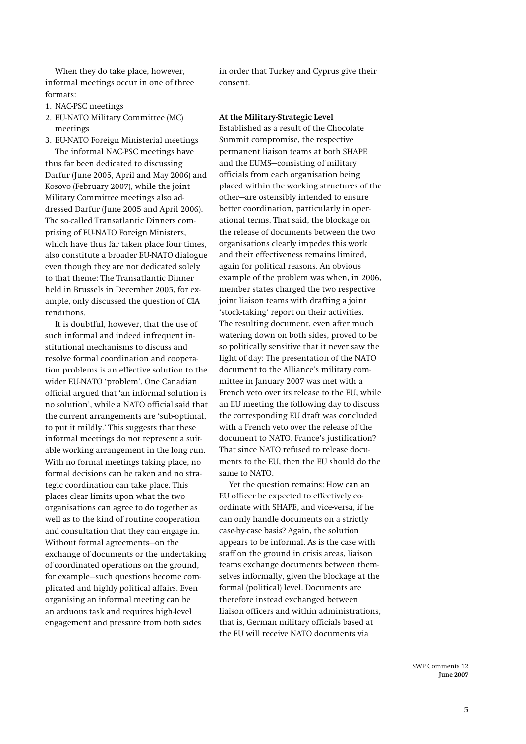When they do take place, however, informal meetings occur in one of three formats:

- 1. NAC-PSC meetings
- 2. EU-NATO Military Committee (MC) meetings
- 3. EU-NATO Foreign Ministerial meetings The informal NAC-PSC meetings have thus far been dedicated to discussing Darfur (June 2005, April and May 2006) and Kosovo (February 2007), while the joint Military Committee meetings also addressed Darfur (June 2005 and April 2006).

The so-called Transatlantic Dinners comprising of EU-NATO Foreign Ministers, which have thus far taken place four times, also constitute a broader EU-NATO dialogue even though they are not dedicated solely to that theme: The Transatlantic Dinner held in Brussels in December 2005, for example, only discussed the question of CIA renditions.

It is doubtful, however, that the use of such informal and indeed infrequent institutional mechanisms to discuss and resolve formal coordination and cooperation problems is an effective solution to the wider EU-NATO 'problem'. One Canadian official argued that 'an informal solution is no solution', while a NATO official said that the current arrangements are 'sub-optimal, to put it mildly.' This suggests that these informal meetings do not represent a suitable working arrangement in the long run. With no formal meetings taking place, no formal decisions can be taken and no strategic coordination can take place. This places clear limits upon what the two organisations can agree to do together as well as to the kind of routine cooperation and consultation that they can engage in. Without formal agreements—on the exchange of documents or the undertaking of coordinated operations on the ground, for example—such questions become complicated and highly political affairs. Even organising an informal meeting can be an arduous task and requires high-level engagement and pressure from both sides

in order that Turkey and Cyprus give their consent.

#### **At the Military-Strategic Level**

Established as a result of the Chocolate Summit compromise, the respective permanent liaison teams at both SHAPE and the EUMS—consisting of military officials from each organisation being placed within the working structures of the other—are ostensibly intended to ensure better coordination, particularly in operational terms. That said, the blockage on the release of documents between the two organisations clearly impedes this work and their effectiveness remains limited, again for political reasons. An obvious example of the problem was when, in 2006, member states charged the two respective joint liaison teams with drafting a joint 'stock-taking' report on their activities. The resulting document, even after much watering down on both sides, proved to be so politically sensitive that it never saw the light of day: The presentation of the NATO document to the Alliance's military committee in January 2007 was met with a French veto over its release to the EU, while an EU meeting the following day to discuss the corresponding EU draft was concluded with a French veto over the release of the document to NATO. France's justification? That since NATO refused to release documents to the EU, then the EU should do the same to NATO.

Yet the question remains: How can an EU officer be expected to effectively coordinate with SHAPE, and vice-versa, if he can only handle documents on a strictly case-by-case basis? Again, the solution appears to be informal. As is the case with staff on the ground in crisis areas, liaison teams exchange documents between themselves informally, given the blockage at the formal (political) level. Documents are therefore instead exchanged between liaison officers and within administrations, that is, German military officials based at the EU will receive NATO documents via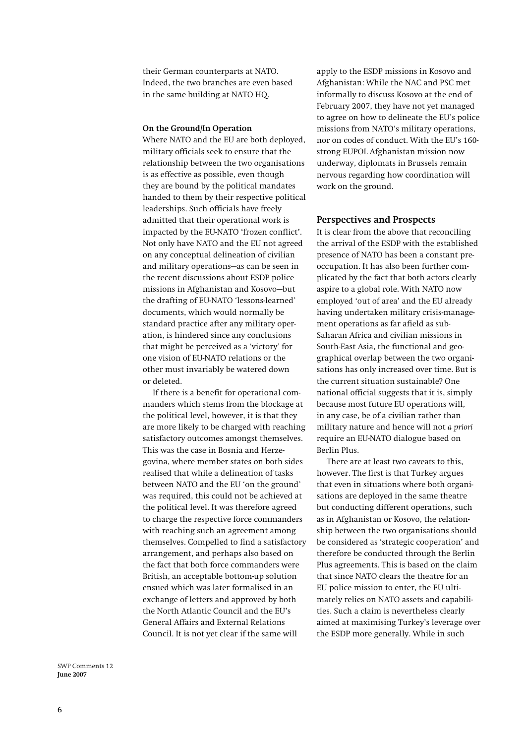their German counterparts at NATO. Indeed, the two branches are even based in the same building at NATO HQ.

#### **On the Ground/In Operation**

Where NATO and the EU are both deployed, military officials seek to ensure that the relationship between the two organisations is as effective as possible, even though they are bound by the political mandates handed to them by their respective political leaderships. Such officials have freely admitted that their operational work is impacted by the EU-NATO 'frozen conflict'. Not only have NATO and the EU not agreed on any conceptual delineation of civilian and military operations—as can be seen in the recent discussions about ESDP police missions in Afghanistan and Kosovo—but the drafting of EU-NATO 'lessons-learned' documents, which would normally be standard practice after any military operation, is hindered since any conclusions that might be perceived as a 'victory' for one vision of EU-NATO relations or the other must invariably be watered down or deleted.

If there is a benefit for operational commanders which stems from the blockage at the political level, however, it is that they are more likely to be charged with reaching satisfactory outcomes amongst themselves. This was the case in Bosnia and Herzegovina, where member states on both sides realised that while a delineation of tasks between NATO and the EU 'on the ground' was required, this could not be achieved at the political level. It was therefore agreed to charge the respective force commanders with reaching such an agreement among themselves. Compelled to find a satisfactory arrangement, and perhaps also based on the fact that both force commanders were British, an acceptable bottom-up solution ensued which was later formalised in an exchange of letters and approved by both the North Atlantic Council and the EU's General Affairs and External Relations Council. It is not yet clear if the same will

apply to the ESDP missions in Kosovo and Afghanistan: While the NAC and PSC met informally to discuss Kosovo at the end of February 2007, they have not yet managed to agree on how to delineate the EU's police missions from NATO's military operations, nor on codes of conduct. With the EU's 160 strong EUPOL Afghanistan mission now underway, diplomats in Brussels remain nervous regarding how coordination will work on the ground.

### **Perspectives and Prospects**

It is clear from the above that reconciling the arrival of the ESDP with the established presence of NATO has been a constant preoccupation. It has also been further complicated by the fact that both actors clearly aspire to a global role. With NATO now employed 'out of area' and the EU already having undertaken military crisis-management operations as far afield as sub-Saharan Africa and civilian missions in South-East Asia, the functional and geographical overlap between the two organisations has only increased over time. But is the current situation sustainable? One national official suggests that it is, simply because most future EU operations will, in any case, be of a civilian rather than military nature and hence will not *a priori*  require an EU-NATO dialogue based on Berlin Plus.

There are at least two caveats to this, however. The first is that Turkey argues that even in situations where both organisations are deployed in the same theatre but conducting different operations, such as in Afghanistan or Kosovo, the relationship between the two organisations should be considered as 'strategic cooperation' and therefore be conducted through the Berlin Plus agreements. This is based on the claim that since NATO clears the theatre for an EU police mission to enter, the EU ultimately relies on NATO assets and capabilities. Such a claim is nevertheless clearly aimed at maximising Turkey's leverage over the ESDP more generally. While in such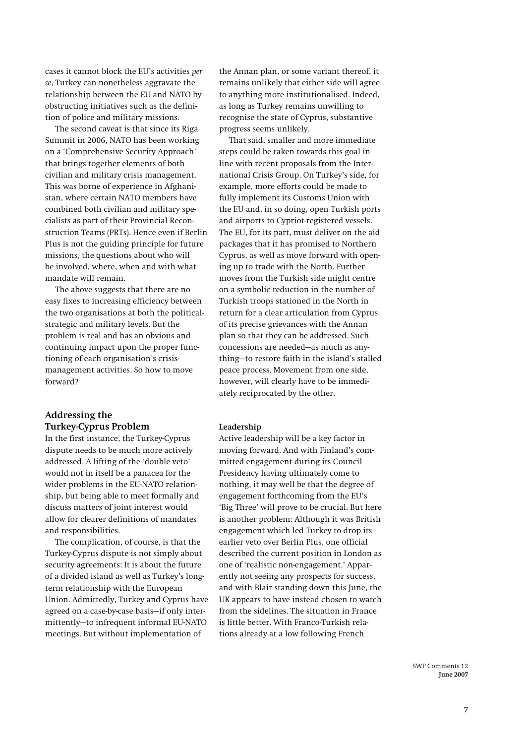cases it cannot block the EU's activities *per se*, Turkey can nonetheless aggravate the relationship between the EU and NATO by obstructing initiatives such as the definition of police and military missions.

The second caveat is that since its Riga Summit in 2006, NATO has been working on a 'Comprehensive Security Approach' that brings together elements of both civilian and military crisis management. This was borne of experience in Afghanistan, where certain NATO members have combined both civilian and military specialists as part of their Provincial Reconstruction Teams (PRTs). Hence even if Berlin Plus is not the guiding principle for future missions, the questions about who will be involved, where, when and with what mandate will remain.

The above suggests that there are no easy fixes to increasing efficiency between the two organisations at both the politicalstrategic and military levels. But the problem is real and has an obvious and continuing impact upon the proper functioning of each organisation's crisismanagement activities. So how to move forward?

# **Addressing the Turkey-Cyprus Problem**

In the first instance, the Turkey-Cyprus dispute needs to be much more actively addressed. A lifting of the 'double veto' would not in itself be a panacea for the wider problems in the EU-NATO relationship, but being able to meet formally and discuss matters of joint interest would allow for clearer definitions of mandates and responsibilities.

The complication, of course, is that the Turkey-Cyprus dispute is not simply about security agreements: It is about the future of a divided island as well as Turkey's longterm relationship with the European Union. Admittedly, Turkey and Cyprus have agreed on a case-by-case basis—if only intermittently—to infrequent informal EU-NATO meetings. But without implementation of

the Annan plan, or some variant thereof, it remains unlikely that either side will agree to anything more institutionalised. Indeed, as long as Turkey remains unwilling to recognise the state of Cyprus, substantive progress seems unlikely.

That said, smaller and more immediate steps could be taken towards this goal in line with recent proposals from the International Crisis Group. On Turkey's side, for example, more efforts could be made to fully implement its Customs Union with the EU and, in so doing, open Turkish ports and airports to Cypriot-registered vessels. The EU, for its part, must deliver on the aid packages that it has promised to Northern Cyprus, as well as move forward with opening up to trade with the North. Further moves from the Turkish side might centre on a symbolic reduction in the number of Turkish troops stationed in the North in return for a clear articulation from Cyprus of its precise grievances with the Annan plan so that they can be addressed. Such concessions are needed—as much as anything—to restore faith in the island's stalled peace process. Movement from one side, however, will clearly have to be immediately reciprocated by the other.

#### **Leadership**

Active leadership will be a key factor in moving forward. And with Finland's committed engagement during its Council Presidency having ultimately come to nothing, it may well be that the degree of engagement forthcoming from the EU's 'Big Three' will prove to be crucial. But here is another problem: Although it was British engagement which led Turkey to drop its earlier veto over Berlin Plus, one official described the current position in London as one of 'realistic non-engagement.' Apparently not seeing any prospects for success, and with Blair standing down this June, the UK appears to have instead chosen to watch from the sidelines. The situation in France is little better. With Franco-Turkish relations already at a low following French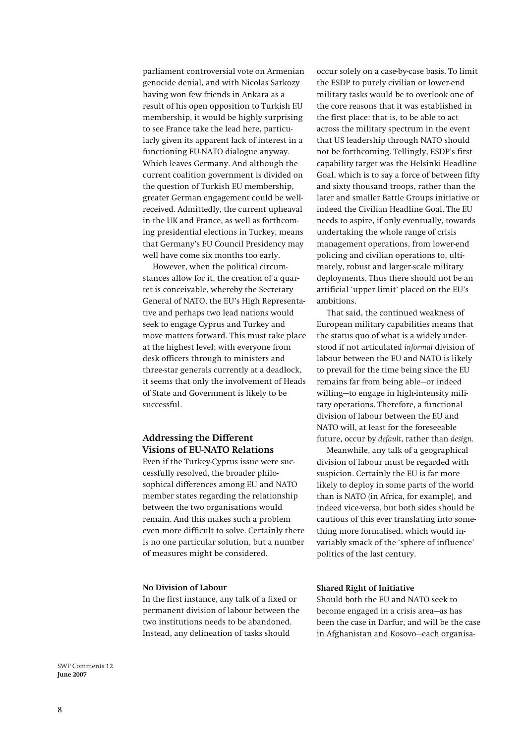parliament controversial vote on Armenian genocide denial, and with Nicolas Sarkozy having won few friends in Ankara as a result of his open opposition to Turkish EU membership, it would be highly surprising to see France take the lead here, particularly given its apparent lack of interest in a functioning EU-NATO dialogue anyway. Which leaves Germany. And although the current coalition government is divided on the question of Turkish EU membership, greater German engagement could be wellreceived. Admittedly, the current upheaval in the UK and France, as well as forthcoming presidential elections in Turkey, means that Germany's EU Council Presidency may well have come six months too early.

However, when the political circumstances allow for it, the creation of a quartet is conceivable, whereby the Secretary General of NATO, the EU's High Representative and perhaps two lead nations would seek to engage Cyprus and Turkey and move matters forward. This must take place at the highest level; with everyone from desk officers through to ministers and three-star generals currently at a deadlock, it seems that only the involvement of Heads of State and Government is likely to be successful.

# **Addressing the Different Visions of EU-NATO Relations**

Even if the Turkey-Cyprus issue were successfully resolved, the broader philosophical differences among EU and NATO member states regarding the relationship between the two organisations would remain. And this makes such a problem even more difficult to solve. Certainly there is no one particular solution, but a number of measures might be considered.

#### **No Division of Labour**

In the first instance, any talk of a fixed or permanent division of labour between the two institutions needs to be abandoned. Instead, any delineation of tasks should

occur solely on a case-by-case basis. To limit the ESDP to purely civilian or lower-end military tasks would be to overlook one of the core reasons that it was established in the first place: that is, to be able to act across the military spectrum in the event that US leadership through NATO should not be forthcoming. Tellingly, ESDP's first capability target was the Helsinki Headline Goal, which is to say a force of between fifty and sixty thousand troops, rather than the later and smaller Battle Groups initiative or indeed the Civilian Headline Goal. The EU needs to aspire, if only eventually, towards undertaking the whole range of crisis management operations, from lower-end policing and civilian operations to, ultimately, robust and larger-scale military deployments. Thus there should not be an artificial 'upper limit' placed on the EU's ambitions.

That said, the continued weakness of European military capabilities means that the status quo of what is a widely understood if not articulated *informal* division of labour between the EU and NATO is likely to prevail for the time being since the EU remains far from being able—or indeed willing—to engage in high-intensity military operations. Therefore, a functional division of labour between the EU and NATO will, at least for the foreseeable future, occur by *default*, rather than *design*.

Meanwhile, any talk of a geographical division of labour must be regarded with suspicion. Certainly the EU is far more likely to deploy in some parts of the world than is NATO (in Africa, for example), and indeed vice-versa, but both sides should be cautious of this ever translating into something more formalised, which would invariably smack of the 'sphere of influence' politics of the last century.

### **Shared Right of Initiative**

Should both the EU and NATO seek to become engaged in a crisis area—as has been the case in Darfur, and will be the case in Afghanistan and Kosovo—each organisa-